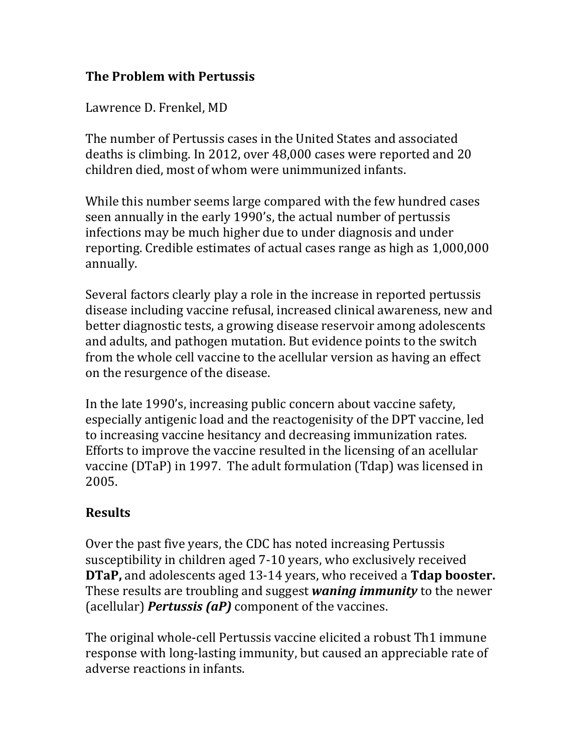## **The Problem with Pertussis**

Lawrence D. Frenkel, MD

The number of Pertussis cases in the United States and associated deaths is climbing. In 2012, over 48,000 cases were reported and 20 children died, most of whom were unimmunized infants.

While this number seems large compared with the few hundred cases seen annually in the early 1990's, the actual number of pertussis infections may be much higher due to under diagnosis and under reporting. Credible estimates of actual cases range as high as 1,000,000 annually.

Several factors clearly play a role in the increase in reported pertussis disease including vaccine refusal, increased clinical awareness, new and better diagnostic tests, a growing disease reservoir among adolescents and adults, and pathogen mutation. But evidence points to the switch from the whole cell vaccine to the acellular version as having an effect on the resurgence of the disease.

In the late 1990's, increasing public concern about vaccine safety, especially antigenic load and the reactogenisity of the DPT vaccine, led to increasing vaccine hesitancy and decreasing immunization rates. Efforts to improve the vaccine resulted in the licensing of an acellular vaccine (DTaP) in 1997. The adult formulation (Tdap) was licensed in 2005.

## **Results**

Over the past five years, the CDC has noted increasing Pertussis susceptibility in children aged 7-10 years, who exclusively received **DTaP,** and adolescents aged 13-14 years, who received a **Tdap booster.** These results are troubling and suggest *waning immunity* to the newer (acellular) *Pertussis (aP)* component of the vaccines.

The original whole-cell Pertussis vaccine elicited a robust Th1 immune response with long-lasting immunity, but caused an appreciable rate of adverse reactions in infants.